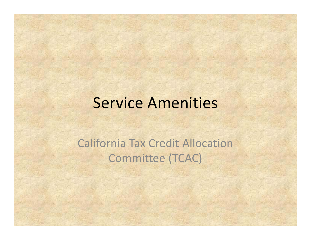### Service Amenities

California Tax Credit AllocationCommittee (TCAC)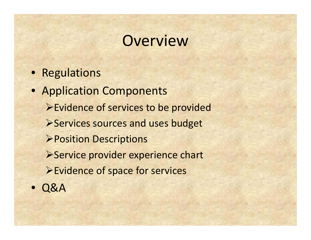# **Overview**

- Regulations
- Application Components ¾Evidence of services to be provided ¾Services sources and uses budget ¾Position Descriptions ¾Service provider experience chart ¾Evidence of space for services  $\bullet$ Q&A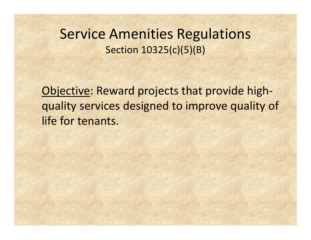### Service Amenities Regulations Section 10325(c)(5)(B)

Objective: Reward projects that provide high‐ quality services designed to improve quality of life for tenants.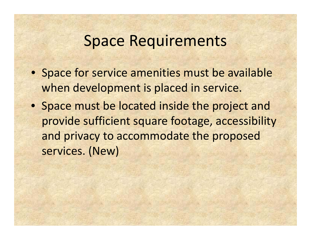## Space Requirements

- Space for service amenities must be available when development is placed in service.
- Space must be located inside the project and provide sufficient square footage, accessibility and privacy to accommodate the proposed services. (New)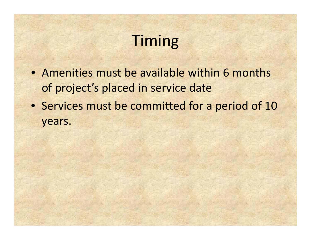# Timing

- Amenities must be available within 6 months of project's placed in service date
- Services must be committed for <sup>a</sup> period of 10 years.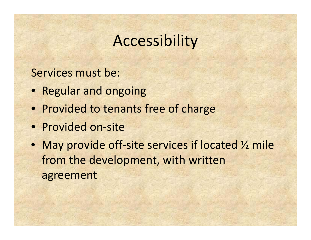# Accessibility

#### Services must be:

- Regular and ongoing
- Provided to tenants free of charge
- Provided on-site
- May provide off-site services if located 1/2 mile from the development, with written agreement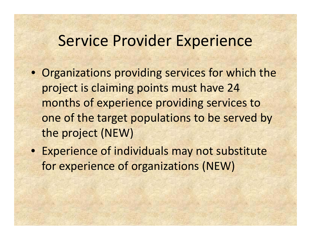## Service Provider Experience

- Organizations providing services for which the project is claiming points must have 24 months of experience providing services to one of the target populations to be served by the project (NEW)
- Experience of individuals may not substitute for experience of organizations (NEW)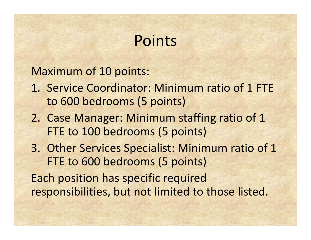# Points

Maximum of 10 points:

- 1. Service Coordinator: Minimum ratio of 1 FTE to 600 bedrooms (5 points)
- 2. Case Manager: Minimum staffing ratio of 1 FTE to 100 bedrooms (5 points)
- 3. Other Services Specialist: Minimum ratio of 1 FTE to 600 bedrooms (5 points) Each position has specific required responsibilities, but not limited to those listed.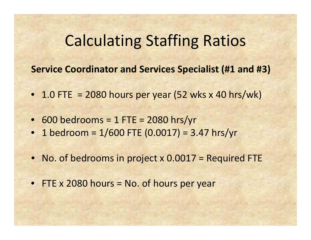## Calculating Staffing Ratios

**Service Coordinator and Services Specialist (#1 and #3)**

- 1.0 FTE = 2080 hours per year (52 wks x 40 hrs/wk)
- 600 bedrooms <sup>=</sup> 1 FTE <sup>=</sup> 2080 hrs/yr
- 1 bedroom <sup>=</sup> 1/600 FTE (0.0017) <sup>=</sup> 3.47 hrs/yr
- No. of bedrooms in project <sup>x</sup> 0.0017 <sup>=</sup> Required FTE
- FTE x 2080 hours <sup>=</sup> No. of hours per year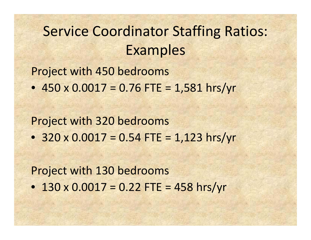## Service Coordinator Staffing Ratios: Examples

Project with 450 bedrooms

• 450 <sup>x</sup> 0.0017 <sup>=</sup> 0.76 FTE <sup>=</sup> 1,581 hrs/yr

Project with 320 bedrooms

• 320 <sup>x</sup> 0.0017 <sup>=</sup> 0.54 FTE <sup>=</sup> 1,123 hrs/yr

Project with 130 bedrooms

• 130 <sup>x</sup> 0.0017 <sup>=</sup> 0.22 FTE <sup>=</sup> 458 hrs/yr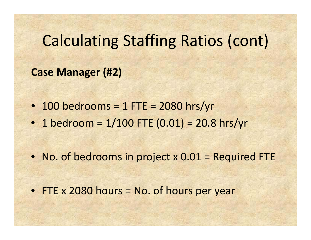# Calculating Staffing Ratios (cont)

#### **Case Manager (#2)**

- 100 bedrooms <sup>=</sup> 1 FTE <sup>=</sup> 2080 hrs/yr
- 1 bedroom <sup>=</sup> 1/100 FTE (0.01) <sup>=</sup> 20.8 hrs/yr

• No. of bedrooms in project x 0.01 = Required FTE

• FTE x 2080 hours <sup>=</sup> No. of hours per year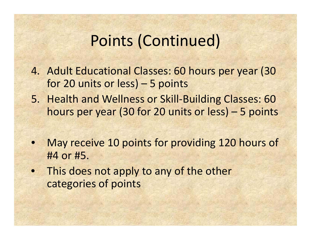# Points (Continued)

- 4. Adult Educational Classes: 60 hours per year (30 for 20 units or less) – 5 points
- 5. Health and Wellness or Skill‐Building Classes: 60 hours per year (30 for 20 units or less) – 5 points
- $\bullet$  May receive 10 points for providing 120 hours of #4 or #5.
- This does not apply to any of the other categories of points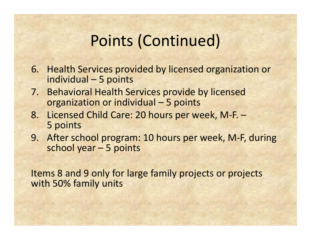# Points (Continued)

- 6. Health Services provided by licensed organization or individual – 5 points
- 7. Behavioral Health Services provide by licensed organization or individual – 5 points
- 8. Licensed Child Care: 20 hours per week, M‐F. 5 points
- 9. After school program: 10 hours per week, M‐F, during school year – 5 points

Items 8 and 9 only for large family projects or projects with 50% family units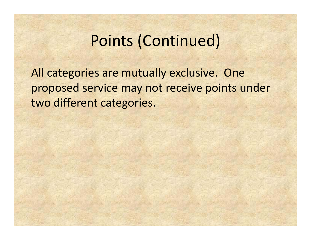## Points (Continued)

All categories are mutually exclusive. One proposed service may not receive points under two different categories.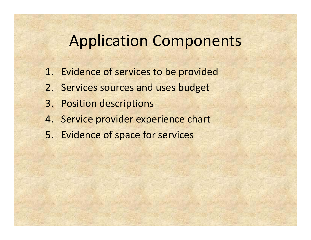## Application Components

- 1. Evidence of services to be provided
- 2. Services sources and uses budget
- 3. Position descriptions
- 4. Service provider experience chart
- 5. Evidence of space for services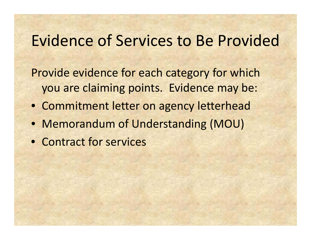## Evidence of Services to Be Provided

Provide evidence for each category for which you are claiming points. Evidence may be:

- Commitment letter on agency letterhead
- Memorandum of Understanding (MOU)
- Contract for services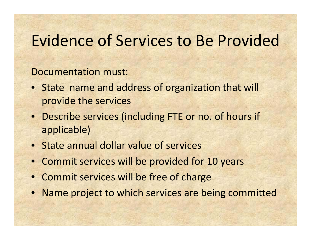## Evidence of Services to Be Provided

#### Documentation must:

- State name and address of organization that will provide the services
- Describe services (including FTE or no. of hours if applicable)
- State annual dollar value of services
- Commit services will be provided for 10 years
- Commit services will be free of charge
- Name project to which services are being committed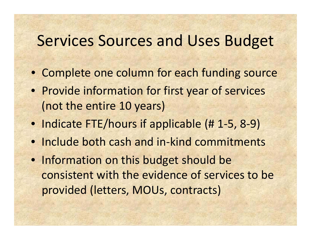## Services Sources and Uses Budget

- Complete one column for each funding source
- Provide information for first year of services (not the entire 10 years)
- Indicate FTE/hours if applicable (# 1-5, 8-9)
- Include both cash and in-kind commitments
- Information on this budget should be consistent with the evidence of services to be provided (letters, MOUs, contracts)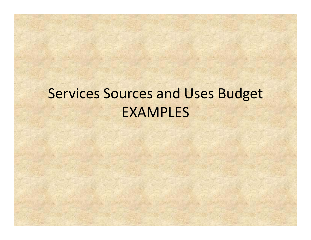## Services Sources and Uses Budget EXAMPLES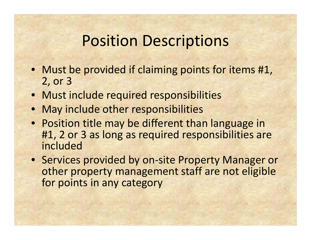# Position Descriptions

- Must be provided if claiming points for items #1, 2, or 3
- Must include required responsibilities
- May include other responsibilities
- Position title may be different than language in #1, 2 or 3 as long as required responsibilities are included
- Services provided by on‐site Property Manager or other property management staff are not eligible for points in any category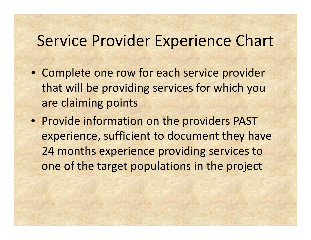## Service Provider Experience Chart

- Complete one row for each service provider that will be providing services for which you are claiming points
- Provide information on the providers PAST experience, sufficient to document they have 24 months experience providing services to one of the target populations in the project